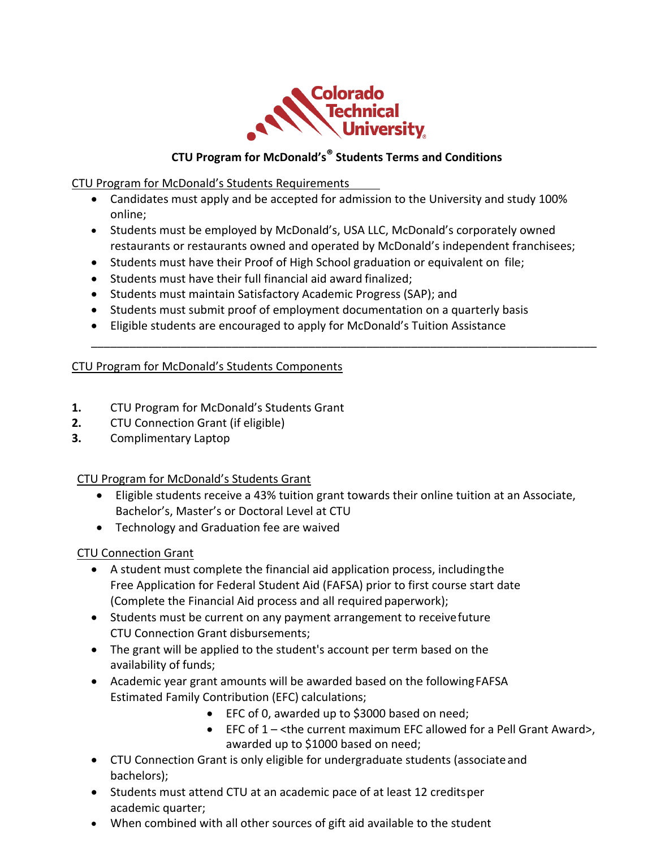

## **CTU Program for McDonald's® Students Terms and Conditions**

CTU Program for McDonald's Students Requirements

- Candidates must apply and be accepted for admission to the University and study 100% online;
- Students must be employed by McDonald's, USA LLC, McDonald's corporately owned restaurants or restaurants owned and operated by McDonald's independent franchisees;

\_\_\_\_\_\_\_\_\_\_\_\_\_\_\_\_\_\_\_\_\_\_\_\_\_\_\_\_\_\_\_\_\_\_\_\_\_\_\_\_\_\_\_\_\_\_\_\_\_\_\_\_\_\_\_\_\_\_\_\_\_\_\_\_\_\_\_\_\_\_\_\_\_\_\_\_\_\_\_

- Students must have their Proof of High School graduation or equivalent on file;
- Students must have their full financial aid award finalized;
- Students must maintain Satisfactory Academic Progress (SAP); and
- Students must submit proof of employment documentation on a quarterly basis
- Eligible students are encouraged to apply for McDonald's Tuition Assistance

## CTU Program for McDonald's Students Components

- **1.** [CTU Program for McDonald's Students Grant](http://coloradotech.smartcatalogiq.com/en/2016/Catalog/Financial-Aid/Grants-and-Scholarships/Physical-and-Virtual-Campus-Students/CTU-Corporate-Educational-Alliances-Grant)
- **2.** CTU Connection Grant (if eligible)
- **3.** Complimentary Laptop

## CTU [Program for McDonald's Stud](http://coloradotech.smartcatalogiq.com/en/2016/Catalog/Financial-Aid/Grants-and-Scholarships/Physical-and-Virtual-Campus-Students/CTU-Corporate-Educational-Alliances-Grant)ents Grant

- Eligible students receive a 43% tuition grant towards their online tuition at an Associate, Bachelor's, Master's or Doctoral Level at CTU
- Technology and Graduation fee are waived

## CTU Connection Grant

- A student must complete the financial aid application process, includingthe Free Application for Federal Student Aid (FAFSA) prior to first course start date (Complete the Financial Aid process and all required paperwork);
- Students must be current on any payment arrangement to receive future CTU Connection Grant disbursements;
- The grant will be applied to the student's account per term based on the availability of funds;
- Academic year grant amounts will be awarded based on the followingFAFSA Estimated Family Contribution (EFC) calculations;
	- EFC of 0, awarded up to \$3000 based on need;
	- EFC of 1 <the current maximum EFC allowed for a Pell Grant Award>, awarded up to \$1000 based on need;
- CTU Connection Grant is only eligible for undergraduate students (associateand bachelors);
- Students must attend CTU at an academic pace of at least 12 creditsper academic quarter;
- When combined with all other sources of gift aid available to the student